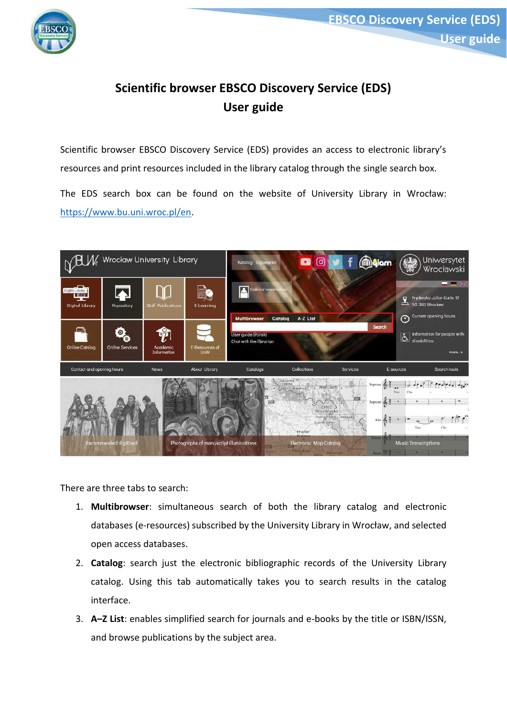

# **Scientific browser EBSCO Discovery Service (EDS) User guide**

Scientific browser EBSCO Discovery Service (EDS) provides an access to electronic library's resources and print resources included in the library catalog through the single search box.

The EDS search box can be found on the website of University Library in Wrocław: [https://www.bu.uni.wroc.pl/en.](https://www.bu.uni.wroc.pl/en)



There are three tabs to search:

- 1. **Multibrowser**: simultaneous search of both the library catalog and electronic databases (e-resources) subscribed by the University Library in Wrocław, and selected open access databases.
- 2. **Catalog**: search just the electronic bibliographic records of the University Library catalog. Using this tab automatically takes you to search results in the catalog interface.
- 3. **A–Z List**: enables simplified search for journals and e-books by the title or ISBN/ISSN, and browse publications by the subject area.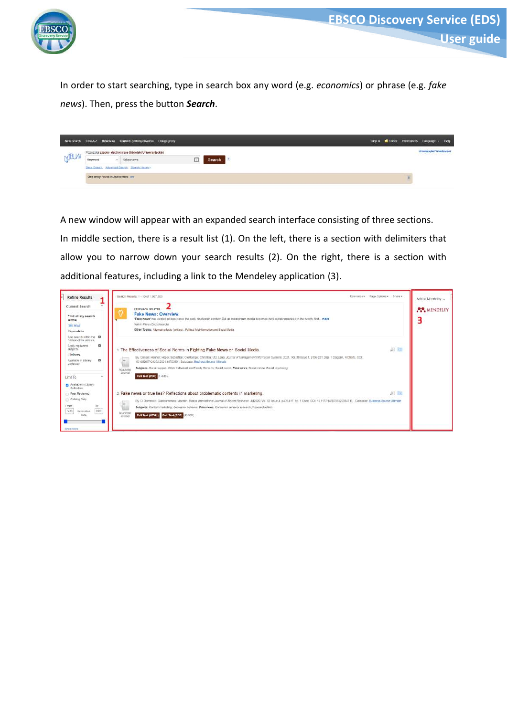

In order to start searching, type in search box any word (e.g. *economics*) or phrase (e.g. *fake news*). Then, press the button *Search*.

| Keyword | take news | Search                                                                                                                                           |                                                                         |  |                                                                                                   |
|---------|-----------|--------------------------------------------------------------------------------------------------------------------------------------------------|-------------------------------------------------------------------------|--|---------------------------------------------------------------------------------------------------|
|         |           |                                                                                                                                                  |                                                                         |  |                                                                                                   |
|         |           |                                                                                                                                                  |                                                                         |  |                                                                                                   |
|         |           | Przeszuka zasoby elektroniczne Biblioteki Uniwersyteckiej<br>Batic Search Advanced Scarch Search Halary .<br>One entry found in Authorities: see | New Search Lista A.Z Biblioteka Kontakt I godziny otwarcia Usługa proxy |  | Sign in E Fulder Preferences Language · Help<br>Unawersytet Wrocławski<br>アンス・コンド しゅうりつ しんしょうけいしょ |

A new window will appear with an expanded search interface consisting of three sections. In middle section, there is a result list (1). On the left, there is a section with delimiters that allow you to narrow down your search results (2). On the right, there is a section with additional features, including a link to the Mendeley application (3).

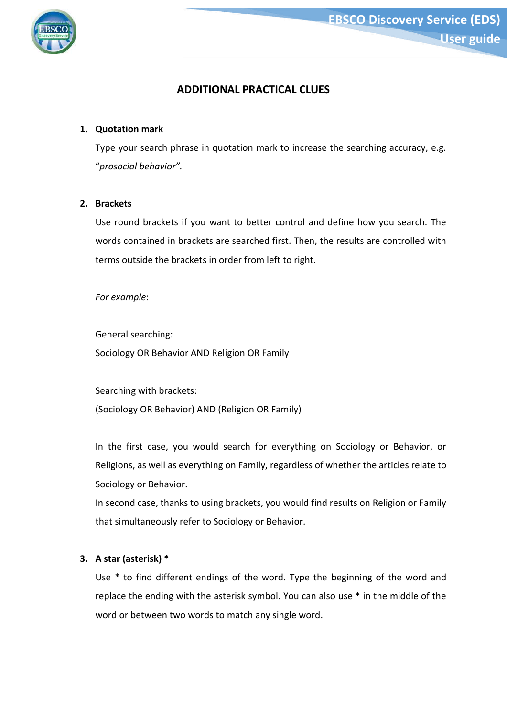

# **ADDITIONAL PRACTICAL CLUES**

# **1. Quotation mark**

Type your search phrase in quotation mark to increase the searching accuracy, e.g. "*prosocial behavior".*

#### **2. Brackets**

Use round brackets if you want to better control and define how you search. The words contained in brackets are searched first. Then, the results are controlled with terms outside the brackets in order from left to right.

*For example*:

General searching: Sociology OR Behavior AND Religion OR Family

Searching with brackets: (Sociology OR Behavior) AND (Religion OR Family)

In the first case, you would search for everything on Sociology or Behavior, or Religions, as well as everything on Family, regardless of whether the articles relate to Sociology or Behavior.

In second case, thanks to using brackets, you would find results on Religion or Family that simultaneously refer to Sociology or Behavior.

#### **3. A star (asterisk) \***

Use \* to find different endings of the word. Type the beginning of the word and replace the ending with the asterisk symbol. You can also use \* in the middle of the word or between two words to match any single word.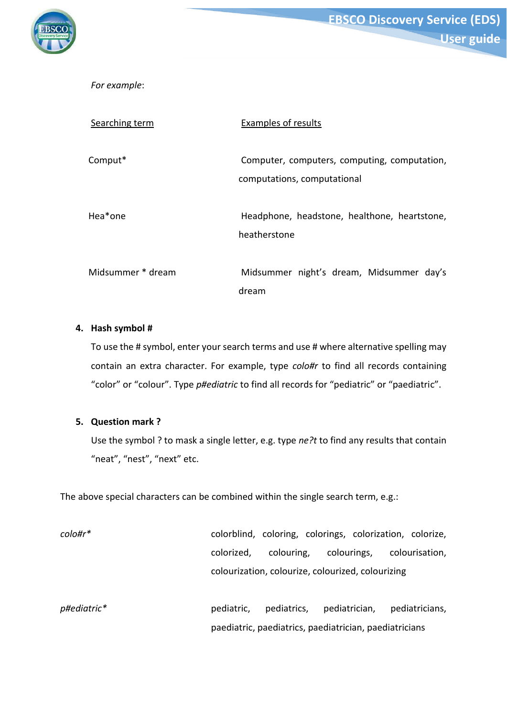

**EBSCO Discovery Service (EDS) User guide**

*For example*:

| Searching term    | Examples of results                                                         |
|-------------------|-----------------------------------------------------------------------------|
| Comput*           | Computer, computers, computing, computation,<br>computations, computational |
| Hea*one           | Headphone, headstone, healthone, heartstone,<br>heatherstone                |
| Midsummer * dream | Midsummer night's dream, Midsummer day's<br>dream                           |

## **4. Hash symbol #**

To use the # symbol, enter your search terms and use # where alternative spelling may contain an extra character. For example, type *colo#r* to find all records containing "color" or "colour". Type *p#ediatric* to find all records for "pediatric" or "paediatric".

# **5. Question mark ?**

Use the symbol ? to mask a single letter, e.g. type *ne?t* to find any results that contain "neat", "nest", "next" etc.

The above special characters can be combined within the single search term, e.g.:

*colo#r\** colorblind, coloring, colorings, colorization, colorize, colorized, colouring, colourings, colourisation, colourization, colourize, colourized, colourizing p#ediatric\* **pediatric,** pediatrics, pediatrician, pediatricians, paediatric, paediatrics, paediatrician, paediatricians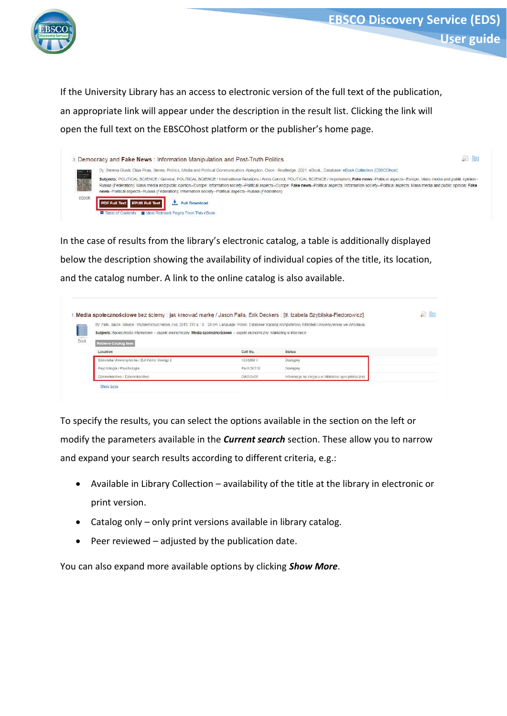

If the University Library has an access to electronic version of the full text of the publication, an appropriate link will appear under the description in the result list. Clicking the link will open the full text on the EBSCOhost platform or the publisher's home page.

|       | 3. Democracy and Fake News : Information Manipulation and Post-Truth Politics                                                                                                                                                                                                                                                                                                                                                                                                                                                                           | $\overline{\varphi}$ $\overline{\varphi}$ |
|-------|---------------------------------------------------------------------------------------------------------------------------------------------------------------------------------------------------------------------------------------------------------------------------------------------------------------------------------------------------------------------------------------------------------------------------------------------------------------------------------------------------------------------------------------------------------|-------------------------------------------|
|       | Ely: Serena Giusti; Elisa Piras, Senes: Politics, Media and Political Communication, Abingdon, Oxon: Routledge, 2021, eBook, Database: eBook Collection (EBSCOhost)                                                                                                                                                                                                                                                                                                                                                                                     |                                           |
|       | Subjects: POLITICAL SCIENCE / General: POLITICAL SCIENCE / International Relations / Arms Control: POLITICAL SCIENCE / Imperialism: Fake news--Political aspects--Europe: Mass media and public opinion-<br>Russia (Federation); Mass media and public opinion-Europe; Information society--Political aspects--Europe; Fake news--Political aspects; Information society--Political aspects, Information society--Political aspects, Infor<br>news--Political aspects--Russia (Federation): Information society--Political aspects--Russia (Federation) |                                           |
| eBook | PDF Full Text EPUB Full Text<br>Full Download                                                                                                                                                                                                                                                                                                                                                                                                                                                                                                           |                                           |
|       | <b>B</b> Most Relevant Pages From This eBook<br><b>D</b> Table of Contents                                                                                                                                                                                                                                                                                                                                                                                                                                                                              |                                           |

In the case of results from the library's electronic catalog, a table is additionally displayed below the description showing the availability of individual copies of the title, its location, and the catalog number. A link to the online catalog is also available.

| By: Falls Jason Glilwice : Wydawnictwo Hellon, cop. 2013 275 s / il. ; 24 cm Language: Polish, Database: Katalog Komputerowy Biblioteki Universyteckiej we Wrocławiu. |            |                                                     |  |
|-----------------------------------------------------------------------------------------------------------------------------------------------------------------------|------------|-----------------------------------------------------|--|
| Subjects: Społeczności internetowe -- aspekt ekonomiczny, Media społecznościowe -- aspekt ekonomiczny, Marketing w Internecie                                         |            |                                                     |  |
| Retrieve Catalog Item                                                                                                                                                 |            |                                                     |  |
| Location                                                                                                                                                              | Call No.   | <b>Status</b>                                       |  |
| Biblioteka Uniwersytecka / BU-Wolny Dostep 2                                                                                                                          | 1593269 1  | Dostepny                                            |  |
| Psychologia / Psychologia                                                                                                                                             | Psch 36312 | <b>Dostepny</b>                                     |  |
| Oziennikarstwo / Dziennikarstwo                                                                                                                                       | DIKS 5400  | Informacja na miejscu w bibliotece specjalistycznej |  |

To specify the results, you can select the options available in the section on the left or modify the parameters available in the *Current search* section. These allow you to narrow and expand your search results according to different criteria, e.g.:

- Available in Library Collection availability of the title at the library in electronic or print version.
- Catalog only only print versions available in library catalog.
- $\bullet$  Peer reviewed adjusted by the publication date.

You can also expand more available options by clicking *Show More*.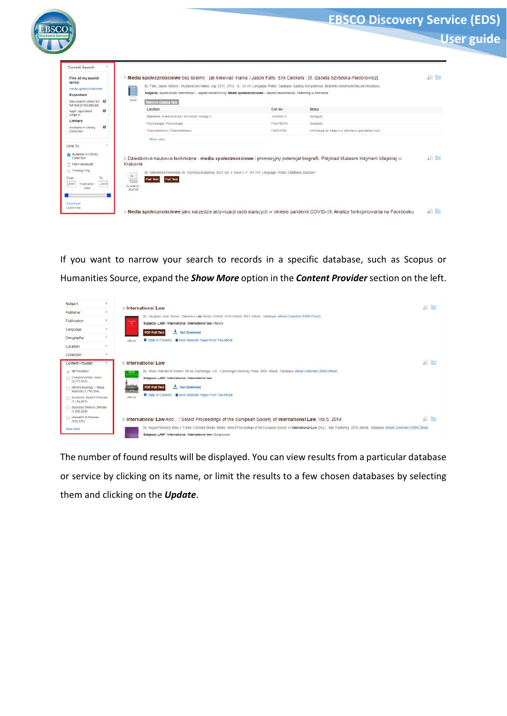|                                                                    |                                  |                                                                                                                                                                                                                                                                                                        |            |                                                                                                                                    | <b>User guide</b> |
|--------------------------------------------------------------------|----------------------------------|--------------------------------------------------------------------------------------------------------------------------------------------------------------------------------------------------------------------------------------------------------------------------------------------------------|------------|------------------------------------------------------------------------------------------------------------------------------------|-------------------|
| Current Search<br>Find all my search                               |                                  | Media społecznościowe bez ściemy : jak kreować marke / Jason Falls, Erik Deckers ; [tł. Izabela Szybilska-Fiedorowicz].                                                                                                                                                                                |            |                                                                                                                                    | 圓面                |
| terms:<br>media spolecznościowe<br>Expanders                       |                                  | By Falls, Jason. Gliwice: VAdawnictwo Helion, cop. 2013. 275 s. ii. 24 cm. Language: Polish, Database: Katalog Komputerowy Biblioteki Uniwersytecklej we Villocklaviu<br>Subjects: Społeczności internetowe -- aspekt ekonomiczny; Media społecznościowe -- aspekt ekonomiczny; Marketing w Internecie |            |                                                                                                                                    |                   |
| Also search within the <b>83</b><br>full text of the articles.     | <b>Book</b>                      | Retrieve Gatalog Rem                                                                                                                                                                                                                                                                                   |            |                                                                                                                                    |                   |
| o<br>Apply equivalent                                              |                                  | Location                                                                                                                                                                                                                                                                                               | Call No.   | <b>Status</b>                                                                                                                      |                   |
| subjects<br>Limiters                                               |                                  | Biblioteka Uniwersytecka / BU-Walny Dostep 2                                                                                                                                                                                                                                                           | 15932691   | Doslepny                                                                                                                           |                   |
| o<br>Available in Library                                          |                                  | Psychologia / Psychologia                                                                                                                                                                                                                                                                              | Psch 36312 | Destepny                                                                                                                           |                   |
| Collection                                                         |                                  | Dziennikarstwo / Dziennikarstwo                                                                                                                                                                                                                                                                        | DAS 5400   | Informacja na miejscu w bibliotece specjalistycznej                                                                                |                   |
|                                                                    |                                  | Show Less                                                                                                                                                                                                                                                                                              |            |                                                                                                                                    |                   |
| Limit To                                                           |                                  |                                                                                                                                                                                                                                                                                                        |            |                                                                                                                                    |                   |
| Available in Library<br>Collection<br>Fi Peer Reviewed             | Krakowie                         |                                                                                                                                                                                                                                                                                                        |            | 2. Dziedzictwo naukowo-techniczne - media społecznościowe i promocyjny potencjał biografii. Przykład Muzeum Inżynierii Miejskiej w | pi la             |
| Catalog Only<br>From<br>To:<br>2021<br>2004<br>Publication<br>Data | m <br>Academic<br><b>Journal</b> | By Aleksandra Powierska in Turystyka Kulturowa, 2021, vol. 4, Issue 3, P 161-179. Language: Polish, Database: BazEkon<br><b>Full Text</b><br><b>Full Text</b>                                                                                                                                          |            |                                                                                                                                    |                   |

If you want to narrow your search to records in a specific database, such as Scopus or Humanities Source, expand the *Show More* option in the *Content Provider*section on the left.

| Subject                                              | × | 4. International Law                                                                                                                                                                                                                                                       | 向面        |
|------------------------------------------------------|---|----------------------------------------------------------------------------------------------------------------------------------------------------------------------------------------------------------------------------------------------------------------------------|-----------|
| Publisher                                            | ۶ | By Vaudhan Lowe, Series: Clarendon Law Series, Oxford : OUP Oxford, 2007, eBook, Database, eBook Collection (EBSCOhost)                                                                                                                                                    |           |
| Publication                                          | × | <b>SERVICE</b><br>Subjects: LAW / International: International law-History<br><b>TER</b>                                                                                                                                                                                   |           |
| Language                                             |   | Full Download<br><b>PDF Full Text</b>                                                                                                                                                                                                                                      |           |
| Geography                                            | ٠ | Table of Contents El Most Relevant Pages From This eBook<br>eBook                                                                                                                                                                                                          |           |
| Location                                             |   |                                                                                                                                                                                                                                                                            |           |
| Collection                                           |   |                                                                                                                                                                                                                                                                            |           |
| <b>Content Provider</b>                              |   | 5 International Law                                                                                                                                                                                                                                                        | an line   |
| All Providers                                        |   | By: Shaw, Malcolm N. Edition: 5th ed. Cambridge, U.K. : Cambridge University Press. 2003. eBook, Database: eBook Collection (EBSCOhost).                                                                                                                                   |           |
| Complementary Index<br>(2.673.804)                   |   | <br>Subjects: LAW / International: International law                                                                                                                                                                                                                       |           |
| $\Box$ EMIS University - News<br>Sources (1,715,354) |   | Full Download<br><b>PDF Full Text</b>                                                                                                                                                                                                                                      |           |
| Academic Search Ultimate<br>(1.162.567)              |   | Table of Contents T Most Relevant Pages From This eBook<br>eBook                                                                                                                                                                                                           |           |
| <b>C Business Source Utimate</b><br>(1.099.053)      |   |                                                                                                                                                                                                                                                                            |           |
| AlasterFILE Premier<br>(518.829)                     |   | 6. International Law And: Select Proceedings of the European Society of International Law, Vol 5, 2014                                                                                                                                                                     | $50 - 60$ |
| Bhow More                                            |   | By August Reinisch; Mary E Fooler. Christina Binder. Series: Select Proceedings of the European Society of International Law, IN p.]: Hart Publishing. 2016. eBook. Database: eBook Collection (EBSCChost).<br>Subjects: LAW / international; International law-Congresses |           |

The number of found results will be displayed. You can view results from a particular database or service by clicking on its name, or limit the results to a few chosen databases by selecting them and clicking on the *Update*.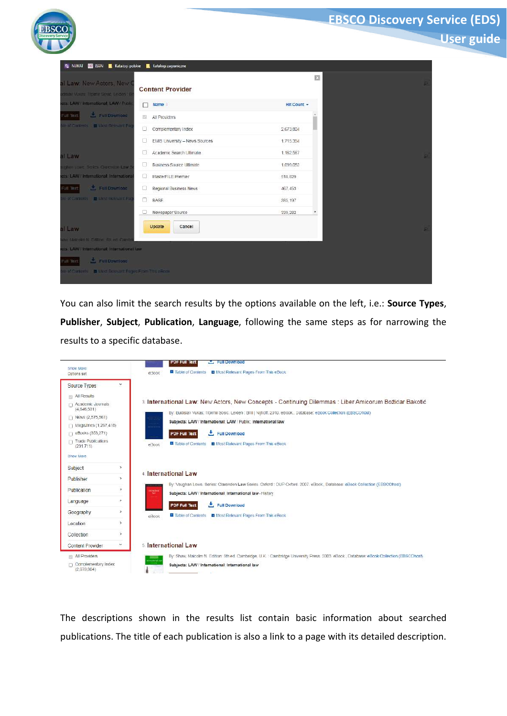|                                                                  |                                     |             | <b>User guide</b> |
|------------------------------------------------------------------|-------------------------------------|-------------|-------------------|
| nj NUKAT <b>III ISSN Katalogi polskie</b>                        | Katalogi zagraniczne                |             |                   |
| Il Law: New Actors, New (<br>Isav Vukas Trpinis Sosic, Leiden 18 | <b>Content Provider</b>             | 図           |                   |
| ds: LAW / International, LAW / Publi                             | $\Box$ Name                         | Hit Count - |                   |
| Full Download<br><b>DORT THE</b>                                 | All Providers                       |             |                   |
| e of Contents <b>III</b> Most Relevant Pa                        | O.<br>Complementary Index           | 2,673,804   |                   |
|                                                                  | o<br>EMIS University - News Sources | 1.715.354   |                   |
| <b>I Law</b>                                                     | Academic Search Ultimate<br>o       | 1.162.567   |                   |
| ghan Lowe, Series, Clarendon Law 9                               | <b>Business Source Ultimate</b>     | 1.099.053   |                   |
| sts: LAW / International: International                          | O.<br>MasterFILE Premier            | 518.829     |                   |
| Full Download<br>tion in:                                        | Regional Business News<br>O.        | 467,453     |                   |
| Ear Contants   La Linst Role unit Pa                             | n.<br><b>BASE</b>                   | 385, 197    |                   |
|                                                                  | Newspaper Source<br>□               | 339,282     |                   |
| I Law                                                            | Update<br>Cancel                    |             |                   |
| w Malcolm N. Edition, 5th ed. Camt                               |                                     |             |                   |
| sts: LAW / International, International law.                     |                                     |             |                   |

You can also limit the search results by the options available on the left, i.e.: **Source Types**, **Publisher**, **Subject**, **Publication**, **Language**, following the same steps as for narrowing the results to a specific database.

| Show More<br>Options set                |                          | eBook                          | Full Download<br><b>PDF Full Text</b><br>Ti Table of Contents <b>El</b> Most Relevant Pages From This eBook                                                                          |
|-----------------------------------------|--------------------------|--------------------------------|--------------------------------------------------------------------------------------------------------------------------------------------------------------------------------------|
| Source Types                            |                          |                                |                                                                                                                                                                                      |
| <b>All Results</b><br>Academic Journals |                          |                                | 3. International Law: New Actors, New Concepts - Continuing Dilemmas : Liber Amicorum Božidar Bakotić                                                                                |
| (4, 646, 531)<br>News (2,575,561)       |                          |                                | By: Budislav Vukas; Trpimir Sosic: Leiden : Brill   Nijhoff, 2010. eBook., Database: eBook Collection (EBSCOhost)                                                                    |
| Magazines (1,267,418)                   |                          |                                | Subjects: LAW / International: LAW / Public: International law                                                                                                                       |
| eBooks (353,271)                        |                          |                                | Full Download<br><b>PDF Full Text</b>                                                                                                                                                |
| Trade Publications<br>(291.711)         |                          | eBook                          | Table of Contents B Most Relevant Pages From This eBook                                                                                                                              |
| Show More                               |                          |                                |                                                                                                                                                                                      |
| Subject                                 | $\sim$                   |                                | 4 International Law                                                                                                                                                                  |
| Publisher                               | $\rightarrow$            |                                |                                                                                                                                                                                      |
| Publication                             | $\Delta$                 | <b>HETALTIN</b><br><b>Take</b> | By: Vaughan Lowe. Series: Clarendon Law Series. Oxford: OUP Oxford. 2007. eBook, Database: eBook Collection (EBSCChost).<br>Subjects: LAW / International; International law-History |
| Language                                | .э.                      |                                | Full Download<br><b>PDF Full Text</b>                                                                                                                                                |
| Geography                               | $\overline{\phantom{a}}$ | eBook                          | <b>El Table of Contents El Most Relevant Pages From This eBook</b>                                                                                                                   |
| Location                                | $\lambda$                |                                |                                                                                                                                                                                      |
| Collection                              | s                        |                                |                                                                                                                                                                                      |
| <b>Content Provider</b>                 | ۷                        |                                | 5. International Law                                                                                                                                                                 |
| <b>IN All Providers</b>                 |                          | <b>REPORT</b><br>cesumal as    | By: Shaw, Malcolm N. Edition: 5th ed. Cambridge, U.K.: Cambridge University Press, 2003. eBook., Database: eBook Collection (EBSCOhost).                                             |
| Complementary index<br>(2.673.804)      |                          |                                | Subjects: LAW / International: International law                                                                                                                                     |

The descriptions shown in the results list contain basic information about searched publications. The title of each publication is also a link to a page with its detailed description.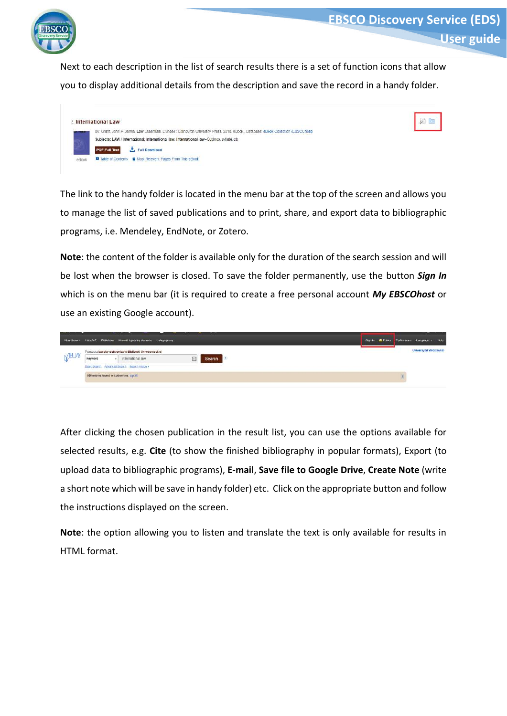

Next to each description in the list of search results there is a set of function icons that allow you to display additional details from the description and save the record in a handy folder.

| <b>International Law</b>                                                                                                           |  |
|------------------------------------------------------------------------------------------------------------------------------------|--|
| By: Grant, John P Series: Law Essentials, Dundee : Edinburgh University Press, 2010. eBook, Database: eBook Collection (EBSCOhost) |  |
| Subjects: LAW / International; International law; International law-Outlines, syllabi, etc.                                        |  |
| <b>PDF Full Text</b><br>Full Download                                                                                              |  |
| <b>El</b> Table of Contents <b>El</b> Most Relevant Pages From This eBook                                                          |  |

The link to the handy folder is located in the menu bar at the top of the screen and allows you to manage the list of saved publications and to print, share, and export data to bibliographic programs, i.e. Mendeley, EndNote, or Zotero.

**Note**: the content of the folder is available only for the duration of the search session and will be lost when the browser is closed. To save the folder permanently, use the button *Sign In* which is on the menu bar (it is required to create a free personal account *My EBSCOhost* or use an existing Google account).



After clicking the chosen publication in the result list, you can use the options available for selected results, e.g. **Cite** (to show the finished bibliography in popular formats), Export (to upload data to bibliographic programs), **E-mail**, **Save file to Google Drive**, **Create Note** (write a short note which will be save in handy folder) etc. Click on the appropriate button and follow the instructions displayed on the screen.

**Note**: the option allowing you to listen and translate the text is only available for results in HTML format.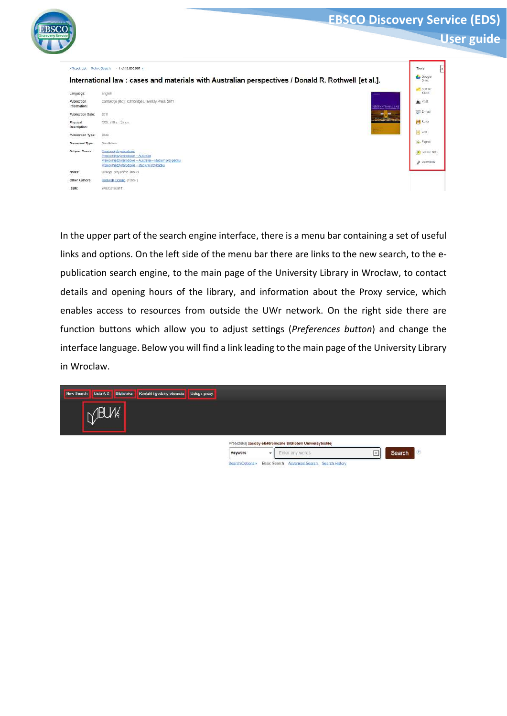|                                    |                                                                                                                                                               | <b>EBSCO Discovery Service (EDS)</b>     |
|------------------------------------|---------------------------------------------------------------------------------------------------------------------------------------------------------------|------------------------------------------|
|                                    |                                                                                                                                                               | <b>User guide</b>                        |
|                                    | . Figsuit List Figfine Search 1.0110,893,987 >                                                                                                                | Tools                                    |
|                                    | International law : cases and materials with Australian perspectives / Donald R. Rothwell [et al.].                                                           | Google                                   |
| Language:                          | English                                                                                                                                                       | Add to:<br>folder                        |
| <b>Publication</b><br>information: | Cambridge (etc.) : Cambridge University Press, 2011<br>NTERNATIONAL LA                                                                                        | <b>BE</b> Ptint                          |
| Publication Date:                  | 2011                                                                                                                                                          | Fill E-mail                              |
| Physical<br>Description:           | XXX: 719 s. 25 cm.                                                                                                                                            | Save                                     |
| Publication Type:                  | Book                                                                                                                                                          | $\left  \frac{m}{m} \right $ Cite        |
| Document Type:                     | Non-fiction                                                                                                                                                   | <b>Be</b> Export                         |
| Subject Terms:                     | Prawb miedzynarodowe<br>Prawo miedzynarodowe - Australia<br>Prawo miedzynarodowe - Australia - studium przypadku<br>Prawo mjedzy narodowe - studium przypadku | <b>M</b> Creata Note<br>$\rho$ Permatink |
| Notes:                             | Bibliogr. przy rozdz. Indeks.                                                                                                                                 |                                          |
| Other Authors:                     | Rathwell Danald (1969-)                                                                                                                                       |                                          |
| ISBN:                              | 9780521609111                                                                                                                                                 |                                          |

In the upper part of the search engine interface, there is a menu bar containing a set of useful links and options. On the left side of the menu bar there are links to the new search, to the epublication search engine, to the main page of the University Library in Wrocław, to contact details and opening hours of the library, and information about the Proxy service, which enables access to resources from outside the UWr network. On the right side there are function buttons which allow you to adjust settings (*Preferences button*) and change the interface language. Below you will find a link leading to the main page of the University Library in Wroclaw.

| <b>Biblioteka</b><br>New Search<br>Lista A-Z<br>Kontakt i godziny otwarcia | <b>Usługa proxy</b>                                           |                               |
|----------------------------------------------------------------------------|---------------------------------------------------------------|-------------------------------|
| MBLM                                                                       |                                                               |                               |
|                                                                            |                                                               |                               |
|                                                                            | Przeszukaj zasoby elektroniczne Biblioteki Uniwersyteckiej    |                               |
|                                                                            | Enter any words<br>Keyword<br>۰                               | $\langle 2 \rangle$<br>Search |
|                                                                            | Basic Search Advanced Search Search History<br>Search Octions |                               |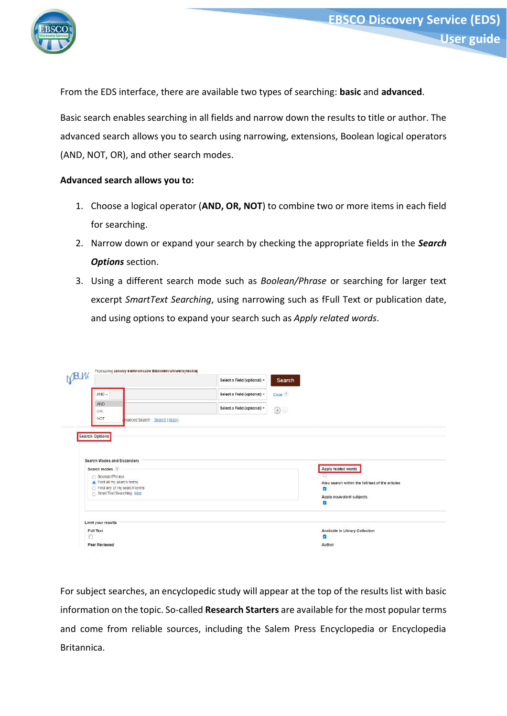

From the EDS interface, there are available two types of searching: **basic** and **advanced**.

Basic search enables searching in all fields and narrow down the results to title or author. The advanced search allows you to search using narrowing, extensions, Boolean logical operators (AND, NOT, OR), and other search modes.

## **Advanced search allows you to:**

- 1. Choose a logical operator (**AND, OR, NOT**) to combine two or more items in each field for searching.
- 2. Narrow down or expand your search by checking the appropriate fields in the *Search Options* section.
- 3. Using a different search mode such as *Boolean/Phrase* or searching for larger text excerpt *SmartText Searching*, using narrowing such as fFull Text or publication date, and using options to expand your search such as *Apply related words*.

| (BUM                                                                                                      |                              | Select a Field (optional) + | Search               |                                                  |
|-----------------------------------------------------------------------------------------------------------|------------------------------|-----------------------------|----------------------|--------------------------------------------------|
| $AND -$                                                                                                   |                              | Select a Field (optional) + | Clear <sup>(2)</sup> |                                                  |
| AND<br><b>OR</b>                                                                                          |                              | Select a Field (optional) * | $\bigoplus$ -        |                                                  |
| NOT                                                                                                       | wanced Search Search History |                             |                      |                                                  |
| <b>Search Options</b>                                                                                     |                              |                             |                      |                                                  |
|                                                                                                           |                              |                             |                      |                                                  |
|                                                                                                           |                              |                             |                      |                                                  |
|                                                                                                           |                              |                             |                      |                                                  |
|                                                                                                           |                              |                             |                      | Apply related words                              |
| ( Boolean/Phrase                                                                                          |                              |                             |                      |                                                  |
| Find all my search terms                                                                                  |                              |                             |                      | Also search within the full text of the articles |
| Search Modes and Expanders<br>Search modes (?)<br>Find any of my search terms<br>SmartText Searching Hint |                              |                             |                      | J.                                               |
|                                                                                                           |                              |                             |                      | Apply equivalent subjects<br>z                   |
|                                                                                                           |                              |                             |                      |                                                  |
| Limit your results<br>Full Text                                                                           |                              |                             |                      | Available in Library Collection                  |

For subject searches, an encyclopedic study will appear at the top of the results list with basic information on the topic. So-called **Research Starters** are available for the most popular terms and come from reliable sources, including the Salem Press Encyclopedia or Encyclopedia Britannica.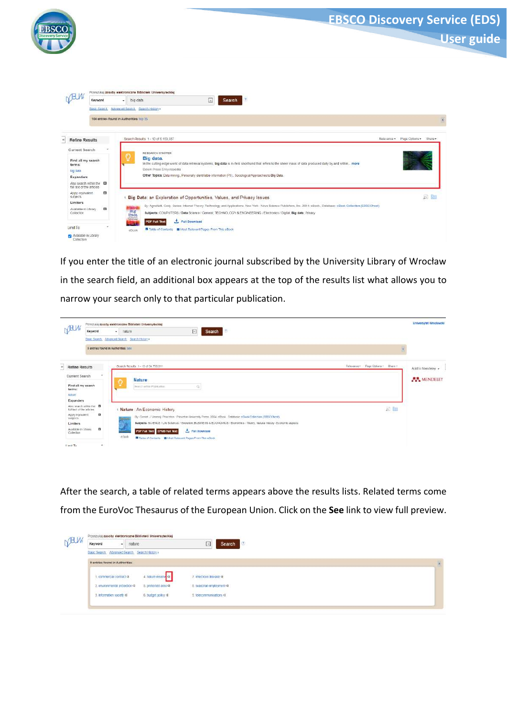

If you enter the title of an electronic journal subscribed by the University Library of Wrocław in the search field, an additional box appears at the top of the results list what allows you to narrow your search only to that particular publication.



After the search, a table of related terms appears above the results lists. Related terms come from the EuroVoc Thesaurus of the European Union. Click on the **See** link to view full preview.

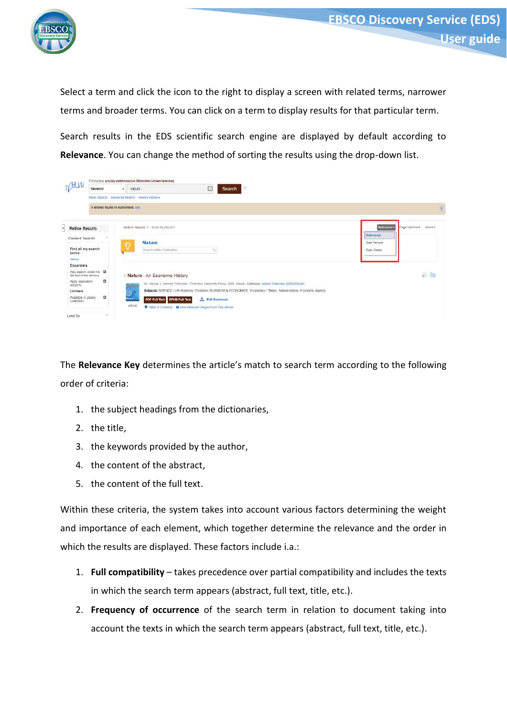

Select a term and click the icon to the right to display a screen with related terms, narrower terms and broader terms. You can click on a term to display results for that particular term.

Search results in the EDS scientific search engine are displayed by default according to **Relevance**. You can change the method of sorting the results using the drop-down list.



The **Relevance Key** determines the article's match to search term according to the following order of criteria:

- 1. the subject headings from the dictionaries,
- 2. the title,
- 3. the keywords provided by the author,
- 4. the content of the abstract,
- 5. the content of the full text.

Within these criteria, the system takes into account various factors determining the weight and importance of each element, which together determine the relevance and the order in which the results are displayed. These factors include i.a.:

- 1. **Full compatibility** takes precedence over partial compatibility and includes the texts in which the search term appears (abstract, full text, title, etc.).
- 2. **Frequency of occurrence** of the search term in relation to document taking into account the texts in which the search term appears (abstract, full text, title, etc.).